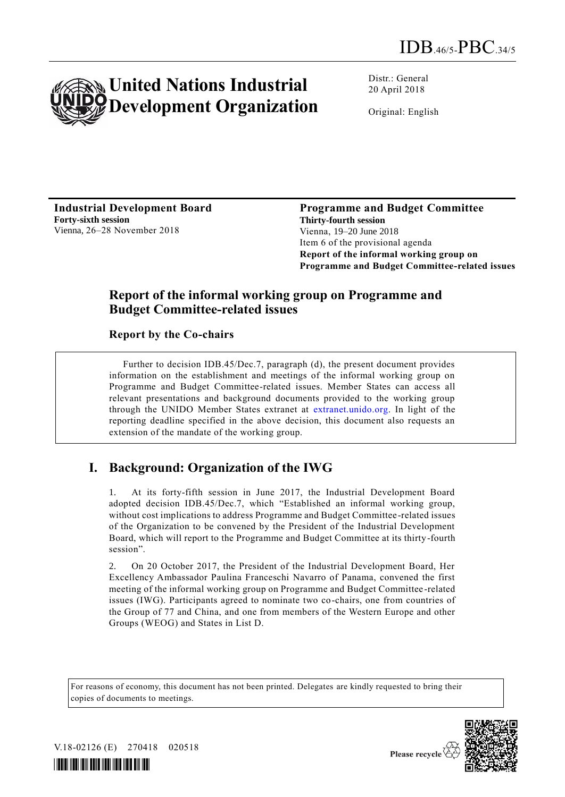

Distr.: General 20 April 2018

Original: English

**Industrial Development Board Forty-sixth session** Vienna, 26–28 November 2018

**Programme and Budget Committee Thirty-fourth session** Vienna, 19–20 June 2018 Item 6 of the provisional agenda **Report of the informal working group on Programme and Budget Committee-related issues**

## **Report of the informal working group on Programme and Budget Committee-related issues**

**Report by the Co-chairs**

Further to decision IDB.45/Dec.7, paragraph (d), the present document provides information on the establishment and meetings of the informal working group on Programme and Budget Committee-related issues. Member States can access all relevant presentations and background documents provided to the working group through the UNIDO Member States extranet at [extranet.unido.org.](file:///C:/Users/castellf/AppData/Local/Microsoft/Windows/Temporary%20Internet%20Files/Content.Outlook/78RI71GZ/extranet.unido.org) In light of the reporting deadline specified in the above decision, this document also requests an extension of the mandate of the working group.

# **I. Background: Organization of the IWG**

1. At its forty-fifth session in June 2017, the Industrial Development Board adopted decision IDB.45/Dec.7, which "Established an informal working group, without cost implications to address Programme and Budget Committee-related issues of the Organization to be convened by the President of the Industrial Development Board, which will report to the Programme and Budget Committee at its thirty-fourth session".

2. On 20 October 2017, the President of the Industrial Development Board, Her Excellency Ambassador Paulina Franceschi Navarro of Panama, convened the first meeting of the informal working group on Programme and Budget Committee -related issues (IWG). Participants agreed to nominate two co-chairs, one from countries of the Group of 77 and China, and one from members of the Western Europe and other Groups (WEOG) and States in List D.

For reasons of economy, this document has not been printed. Delegates are kindly requested to bring their copies of documents to meetings.



V.18-02126 (E) 270418 020518



Please recycle  $\overline{\mathcal{C}}$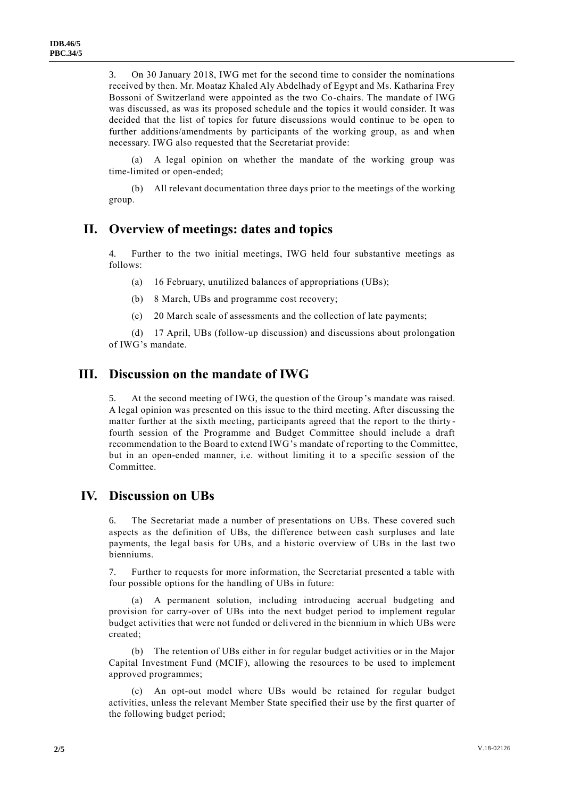3. On 30 January 2018, IWG met for the second time to consider the nominations received by then. Mr. Moataz Khaled Aly Abdelhady of Egypt and Ms. Katharina Frey Bossoni of Switzerland were appointed as the two Co-chairs. The mandate of IWG was discussed, as was its proposed schedule and the topics it would consider. It was decided that the list of topics for future discussions would continue to be open to further additions/amendments by participants of the working group, as and when necessary. IWG also requested that the Secretariat provide:

(a) A legal opinion on whether the mandate of the working group was time-limited or open-ended;

(b) All relevant documentation three days prior to the meetings of the working group.

#### **II. Overview of meetings: dates and topics**

4. Further to the two initial meetings, IWG held four substantive meetings as follows:

(a) 16 February, unutilized balances of appropriations (UBs);

(b) 8 March, UBs and programme cost recovery;

(c) 20 March scale of assessments and the collection of late payments;

(d) 17 April, UBs (follow-up discussion) and discussions about prolongation of IWG's mandate.

#### **III. Discussion on the mandate of IWG**

5. At the second meeting of IWG, the question of the Group's mandate was raised. A legal opinion was presented on this issue to the third meeting. After discussing the matter further at the sixth meeting, participants agreed that the report to the thirty fourth session of the Programme and Budget Committee should include a draft recommendation to the Board to extend IWG's mandate of reporting to the Committee, but in an open-ended manner, i.e. without limiting it to a specific session of the Committee.

#### **IV. Discussion on UBs**

6. The Secretariat made a number of presentations on UBs. These covered such aspects as the definition of UBs, the difference between cash surpluses and late payments, the legal basis for UBs, and a historic overview of UBs in the last two bienniums.

7. Further to requests for more information, the Secretariat presented a table with four possible options for the handling of UBs in future:

(a) A permanent solution, including introducing accrual budgeting and provision for carry-over of UBs into the next budget period to implement regular budget activities that were not funded or delivered in the biennium in which UBs were created;

(b) The retention of UBs either in for regular budget activities or in the Major Capital Investment Fund (MCIF), allowing the resources to be used to implement approved programmes;

(c) An opt-out model where UBs would be retained for regular budget activities, unless the relevant Member State specified their use by the first quarter of the following budget period;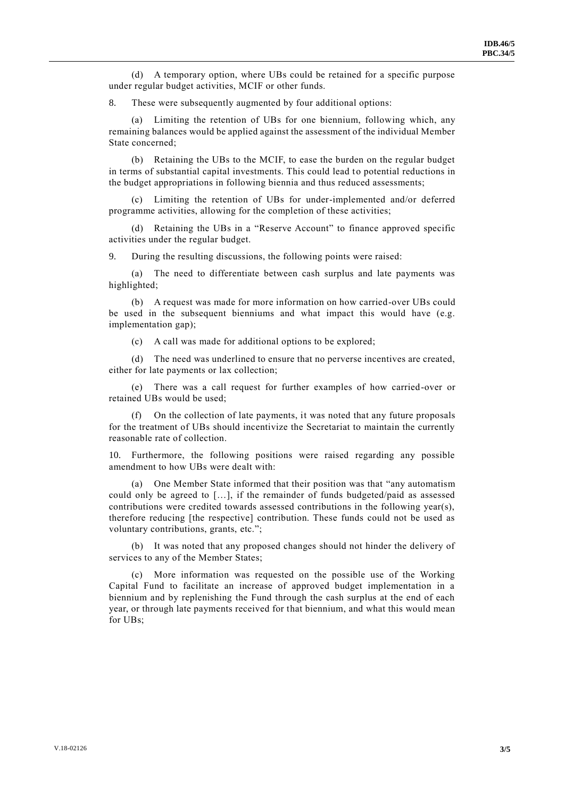(d) A temporary option, where UBs could be retained for a specific purpose under regular budget activities, MCIF or other funds.

8. These were subsequently augmented by four additional options:

(a) Limiting the retention of UBs for one biennium, following which, any remaining balances would be applied against the assessment of the individual Member State concerned;

(b) Retaining the UBs to the MCIF, to ease the burden on the regular budget in terms of substantial capital investments. This could lead to potential reductions in the budget appropriations in following biennia and thus reduced assessments;

(c) Limiting the retention of UBs for under-implemented and/or deferred programme activities, allowing for the completion of these activities;

(d) Retaining the UBs in a "Reserve Account" to finance approved specific activities under the regular budget.

9. During the resulting discussions, the following points were raised:

(a) The need to differentiate between cash surplus and late payments was highlighted;

(b) A request was made for more information on how carried-over UBs could be used in the subsequent bienniums and what impact this would have (e.g. implementation gap);

(c) A call was made for additional options to be explored;

(d) The need was underlined to ensure that no perverse incentives are created, either for late payments or lax collection;

(e) There was a call request for further examples of how carried-over or retained UBs would be used;

(f) On the collection of late payments, it was noted that any future proposals for the treatment of UBs should incentivize the Secretariat to maintain the currently reasonable rate of collection.

10. Furthermore, the following positions were raised regarding any possible amendment to how UBs were dealt with:

(a) One Member State informed that their position was that "any automatism could only be agreed to […], if the remainder of funds budgeted/paid as assessed contributions were credited towards assessed contributions in the following year(s), therefore reducing [the respective] contribution. These funds could not be used as voluntary contributions, grants, etc.";

(b) It was noted that any proposed changes should not hinder the delivery of services to any of the Member States;

(c) More information was requested on the possible use of the Working Capital Fund to facilitate an increase of approved budget implementation in a biennium and by replenishing the Fund through the cash surplus at the end of each year, or through late payments received for that biennium, and what this would mean for UBs;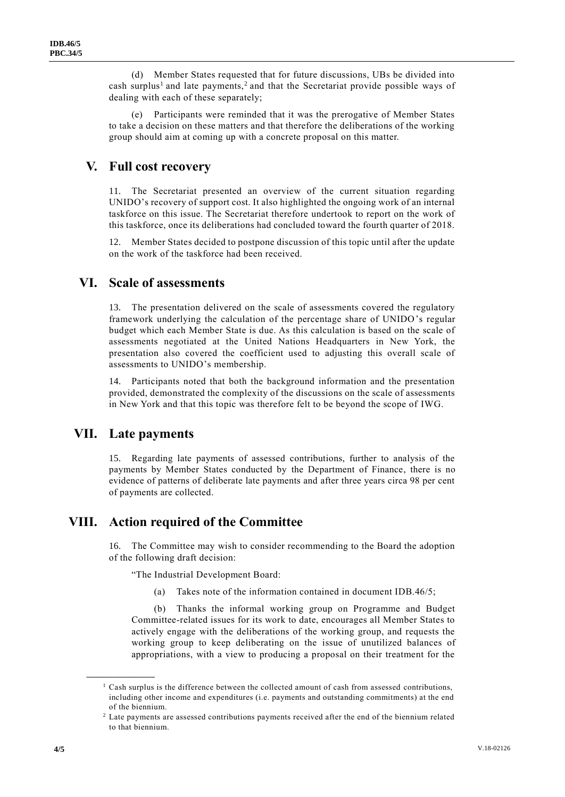(d) Member States requested that for future discussions, UBs be divided into cash surplus<sup>1</sup> and late payments,<sup>2</sup> and that the Secretariat provide possible ways of dealing with each of these separately;

(e) Participants were reminded that it was the prerogative of Member States to take a decision on these matters and that therefore the deliberations of the working group should aim at coming up with a concrete proposal on this matter.

### **V. Full cost recovery**

11. The Secretariat presented an overview of the current situation regarding UNIDO's recovery of support cost. It also highlighted the ongoing work of an internal taskforce on this issue. The Secretariat therefore undertook to report on the work of this taskforce, once its deliberations had concluded toward the fourth quarter of 2018.

12. Member States decided to postpone discussion of this topic until after the update on the work of the taskforce had been received.

#### **VI. Scale of assessments**

13. The presentation delivered on the scale of assessments covered the regulatory framework underlying the calculation of the percentage share of UNIDO's regular budget which each Member State is due. As this calculation is based on the scale of assessments negotiated at the United Nations Headquarters in New York, the presentation also covered the coefficient used to adjusting this overall scale of assessments to UNIDO's membership.

14. Participants noted that both the background information and the presentation provided, demonstrated the complexity of the discussions on the scale of assessments in New York and that this topic was therefore felt to be beyond the scope of IWG.

#### **VII. Late payments**

**\_\_\_\_\_\_\_\_\_\_\_\_\_\_\_\_\_\_**

15. Regarding late payments of assessed contributions, further to analysis of the payments by Member States conducted by the Department of Finance, there is no evidence of patterns of deliberate late payments and after three years circa 98 per cent of payments are collected.

## **VIII. Action required of the Committee**

16. The Committee may wish to consider recommending to the Board the adoption of the following draft decision:

"The Industrial Development Board:

(a) Takes note of the information contained in document IDB.46/5;

(b) Thanks the informal working group on Programme and Budget Committee-related issues for its work to date, encourages all Member States to actively engage with the deliberations of the working group, and requests the working group to keep deliberating on the issue of unutilized balances of appropriations, with a view to producing a proposal on their treatment for the

 $<sup>1</sup>$  Cash surplus is the difference between the collected amount of cash from assessed contributions,</sup> including other income and expenditures (i.e. payments and outstanding commitments) at the end of the biennium.

<sup>&</sup>lt;sup>2</sup> Late payments are assessed contributions payments received after the end of the biennium related to that biennium.